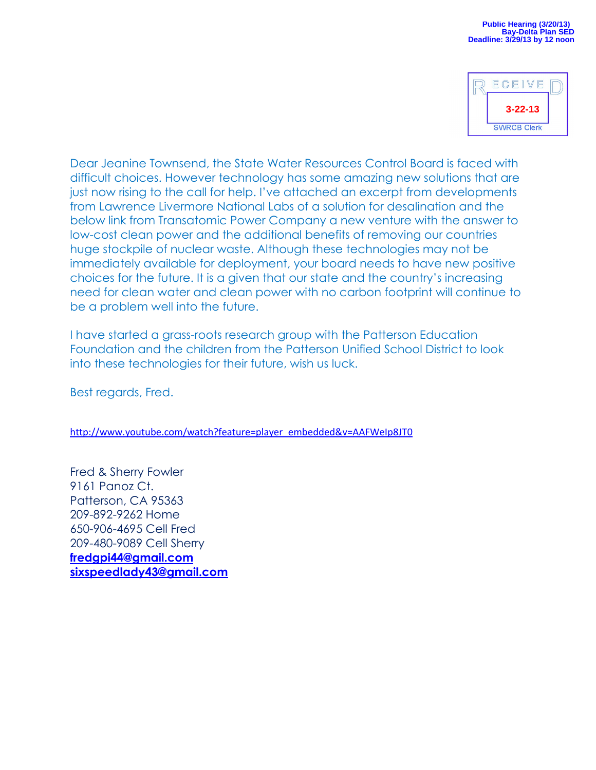| ECEIVE             |  |
|--------------------|--|
| $3 - 22 - 13$      |  |
| <b>SWRCB Clerk</b> |  |

Dear Jeanine Townsend, the State Water Resources Control Board is faced with difficult choices. However technology has some amazing new solutions that are just now rising to the call for help. I've attached an excerpt from developments from Lawrence Livermore National Labs of a solution for desalination and the below link from Transatomic Power Company a new venture with the answer to low-cost clean power and the additional benefits of removing our countries huge stockpile of nuclear waste. Although these technologies may not be immediately available for deployment, your board needs to have new positive choices for the future. It is a given that our state and the country's increasing need for clean water and clean power with no carbon footprint will continue to be a problem well into the future.

I have started a grass-roots research group with the Patterson Education Foundation and the children from the Patterson Unified School District to look into these technologies for their future, wish us luck.

Best regards, Fred.

[http://www.youtube.com/watch?feature=player\\_embedded&v=AAFWeIp8JT0](http://www.youtube.com/watch?feature=player_embedded&v=AAFWeIp8JT0)

Fred & Sherry Fowler 9161 Panoz Ct. Patterson, CA 95363 209-892-9262 Home 650-906-4695 Cell Fred 209-480-9089 Cell Sherry **[fredgpi44@gmail.com](mailto:fredgpi44@gmail.com) [sixspeedlady43@gmail.com](mailto:sixspeedlady43@gmail.com)**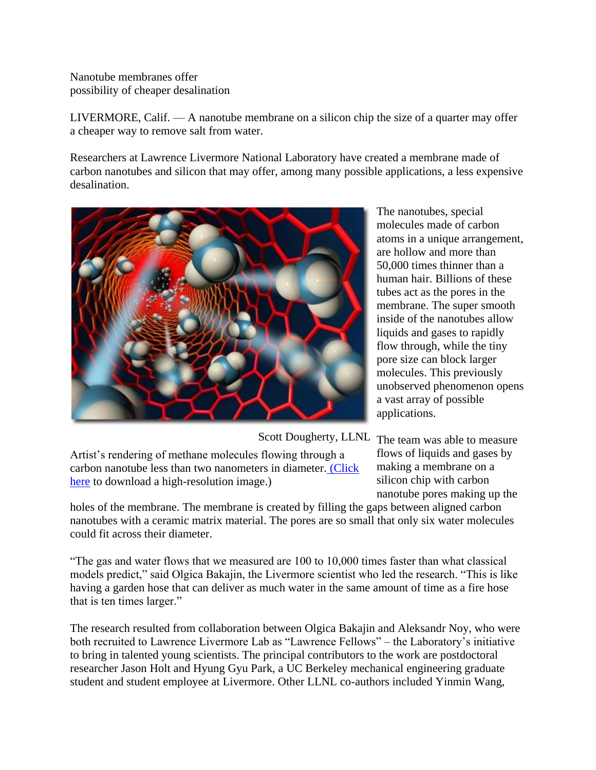Nanotube membranes offer possibility of cheaper desalination

LIVERMORE, Calif. — A nanotube membrane on a silicon chip the size of a quarter may offer a cheaper way to remove salt from water.

Researchers at Lawrence Livermore National Laboratory have created a membrane made of carbon nanotubes and silicon that may offer, among many possible applications, a less expensive desalination.



The nanotubes, special molecules made of carbon atoms in a unique arrangement, are hollow and more than 50,000 times thinner than a human hair. Billions of these tubes act as the pores in the membrane. The super smooth inside of the nanotubes allow liquids and gases to rapidly flow through, while the tiny pore size can block larger molecules. This previously unobserved phenomenon opens a vast array of possible applications.

Scott Dougherty, LLNL The team was able to measure

Artist's rendering of methane molecules flowing through a carbon nanotube less than two nanometers in diameter. [\(Click](https://www.llnl.gov/news/newsreleases/2006/images/membrane_big.jpg)  [here](https://www.llnl.gov/news/newsreleases/2006/images/membrane_big.jpg) to download a high-resolution image.)

flows of liquids and gases by making a membrane on a silicon chip with carbon nanotube pores making up the

holes of the membrane. The membrane is created by filling the gaps between aligned carbon nanotubes with a ceramic matrix material. The pores are so small that only six water molecules could fit across their diameter.

"The gas and water flows that we measured are 100 to 10,000 times faster than what classical models predict," said Olgica Bakajin, the Livermore scientist who led the research. "This is like having a garden hose that can deliver as much water in the same amount of time as a fire hose that is ten times larger."

The research resulted from collaboration between Olgica Bakajin and Aleksandr Noy, who were both recruited to Lawrence Livermore Lab as "Lawrence Fellows" – the Laboratory's initiative to bring in talented young scientists. The principal contributors to the work are postdoctoral researcher Jason Holt and Hyung Gyu Park, a UC Berkeley mechanical engineering graduate student and student employee at Livermore. Other LLNL co-authors included Yinmin Wang,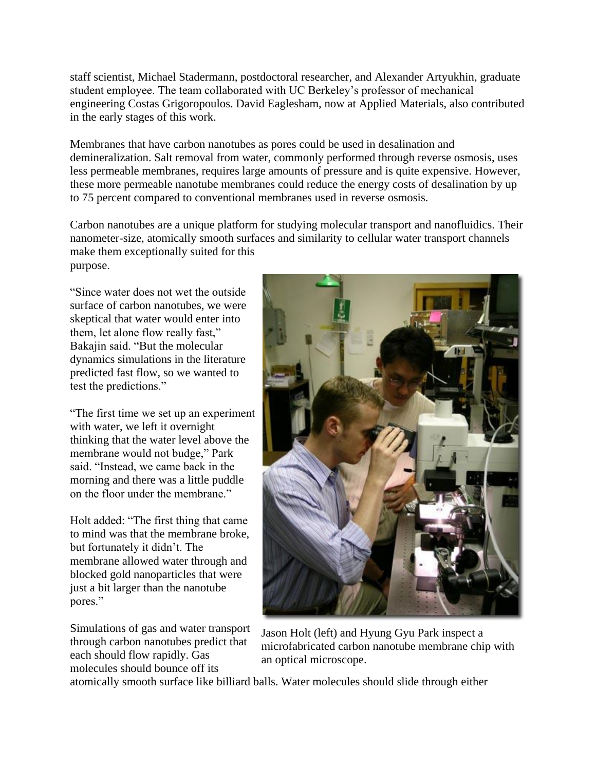staff scientist, Michael Stadermann, postdoctoral researcher, and Alexander Artyukhin, graduate student employee. The team collaborated with UC Berkeley's professor of mechanical engineering Costas Grigoropoulos. David Eaglesham, now at Applied Materials, also contributed in the early stages of this work.

Membranes that have carbon nanotubes as pores could be used in desalination and demineralization. Salt removal from water, commonly performed through reverse osmosis, uses less permeable membranes, requires large amounts of pressure and is quite expensive. However, these more permeable nanotube membranes could reduce the energy costs of desalination by up to 75 percent compared to conventional membranes used in reverse osmosis.

Carbon nanotubes are a unique platform for studying molecular transport and nanofluidics. Their nanometer-size, atomically smooth surfaces and similarity to cellular water transport channels make them exceptionally suited for this purpose.

"Since water does not wet the outside surface of carbon nanotubes, we were skeptical that water would enter into them, let alone flow really fast," Bakajin said. "But the molecular dynamics simulations in the literature predicted fast flow, so we wanted to test the predictions."

"The first time we set up an experiment with water, we left it overnight thinking that the water level above the membrane would not budge," Park said. "Instead, we came back in the morning and there was a little puddle on the floor under the membrane."

Holt added: "The first thing that came to mind was that the membrane broke, but fortunately it didn't. The membrane allowed water through and blocked gold nanoparticles that were just a bit larger than the nanotube pores."

Simulations of gas and water transport through carbon nanotubes predict that each should flow rapidly. Gas molecules should bounce off its



Jason Holt (left) and Hyung Gyu Park inspect a microfabricated carbon nanotube membrane chip with an optical microscope.

atomically smooth surface like billiard balls. Water molecules should slide through either